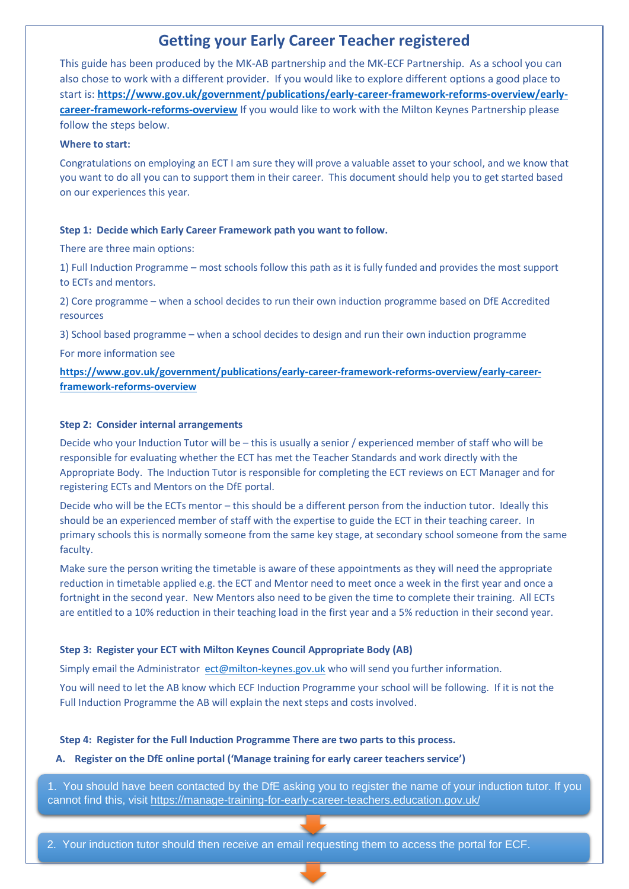# **Getting your Early Career Teacher registered**

This guide has been produced by the MK-AB partnership and the MK-ECF Partnership. As a school you can also chose to work with a different provider. If you would like to explore different options a good place to start is: **[https://www.gov.uk/government/publications/early-career-framework-reforms-overview/early](https://www.gov.uk/government/publications/early-career-framework-reforms-overview/early-career-framework-reforms-overview)[career-framework-reforms-overview](https://www.gov.uk/government/publications/early-career-framework-reforms-overview/early-career-framework-reforms-overview)** If you would like to work with the Milton Keynes Partnership please follow the steps below.

#### **Where to start:**

Congratulations on employing an ECT I am sure they will prove a valuable asset to your school, and we know that you want to do all you can to support them in their career. This document should help you to get started based on our experiences this year.

## **Step 1: Decide which Early Career Framework path you want to follow.**

There are three main options:

1) Full Induction Programme – most schools follow this path as it is fully funded and provides the most support to ECTs and mentors.

2) Core programme – when a school decides to run their own induction programme based on DfE Accredited resources

3) School based programme – when a school decides to design and run their own induction programme

For more information see

**[https://www.gov.uk/government/publications/early-career-framework-reforms-overview/early-career](https://www.gov.uk/government/publications/early-career-framework-reforms-overview/early-career-framework-reforms-overview)[framework-reforms-overview](https://www.gov.uk/government/publications/early-career-framework-reforms-overview/early-career-framework-reforms-overview)**

# **Step 2: Consider internal arrangements**

Decide who your Induction Tutor will be – this is usually a senior / experienced member of staff who will be responsible for evaluating whether the ECT has met the Teacher Standards and work directly with the Appropriate Body. The Induction Tutor is responsible for completing the ECT reviews on ECT Manager and for registering ECTs and Mentors on the DfE portal.

Decide who will be the ECTs mentor – this should be a different person from the induction tutor. Ideally this should be an experienced member of staff with the expertise to guide the ECT in their teaching career. In primary schools this is normally someone from the same key stage, at secondary school someone from the same faculty.

Make sure the person writing the timetable is aware of these appointments as they will need the appropriate reduction in timetable applied e.g. the ECT and Mentor need to meet once a week in the first year and once a fortnight in the second year. New Mentors also need to be given the time to complete their training. All ECTs are entitled to a 10% reduction in their teaching load in the first year and a 5% reduction in their second year.

## **Step 3: Register your ECT with Milton Keynes Council Appropriate Body (AB)**

Simply email the Administrator [ect@milton-keynes.gov.uk](mailto:ect@milton-keynes.gov.uk) who will send you further information.

You will need to let the AB know which ECF Induction Programme your school will be following. If it is not the Full Induction Programme the AB will explain the next steps and costs involved.

## **Step 4: Register for the Full Induction Programme There are two parts to this process.**

#### **A. Register on the DfE online portal ('Manage training for early career teachers service')**

1. You should have been contacted by the DfE asking you to register the name of your induction tutor. If you cannot find this, visit [https://manage-training-for-early-career-teachers.education.gov.uk/](https://eur01.safelinks.protection.outlook.com/?url=https%3A%2F%2Fmanage-training-for-early-career-teachers.education.gov.uk%2F&data=04%7C01%7C%7C15cdc9e77a4c47b43e2408d92a6893ac%7C1faf88fea9984c5b93c9210a11d9a5c2%7C0%7C0%7C637587451133879606%7CUnknown%7CTWFpbGZsb3d8eyJWIjoiMC4wLjAwMDAiLCJQIjoiV2luMzIiLCJBTiI6Ik1haWwiLCJXVCI6Mn0%3D%7C1000&sdata=37QDs%2FA3nZ6GpQXE0Jr4UP05v0e6Dtk%2BFohJjVouxYA%3D&reserved=0)